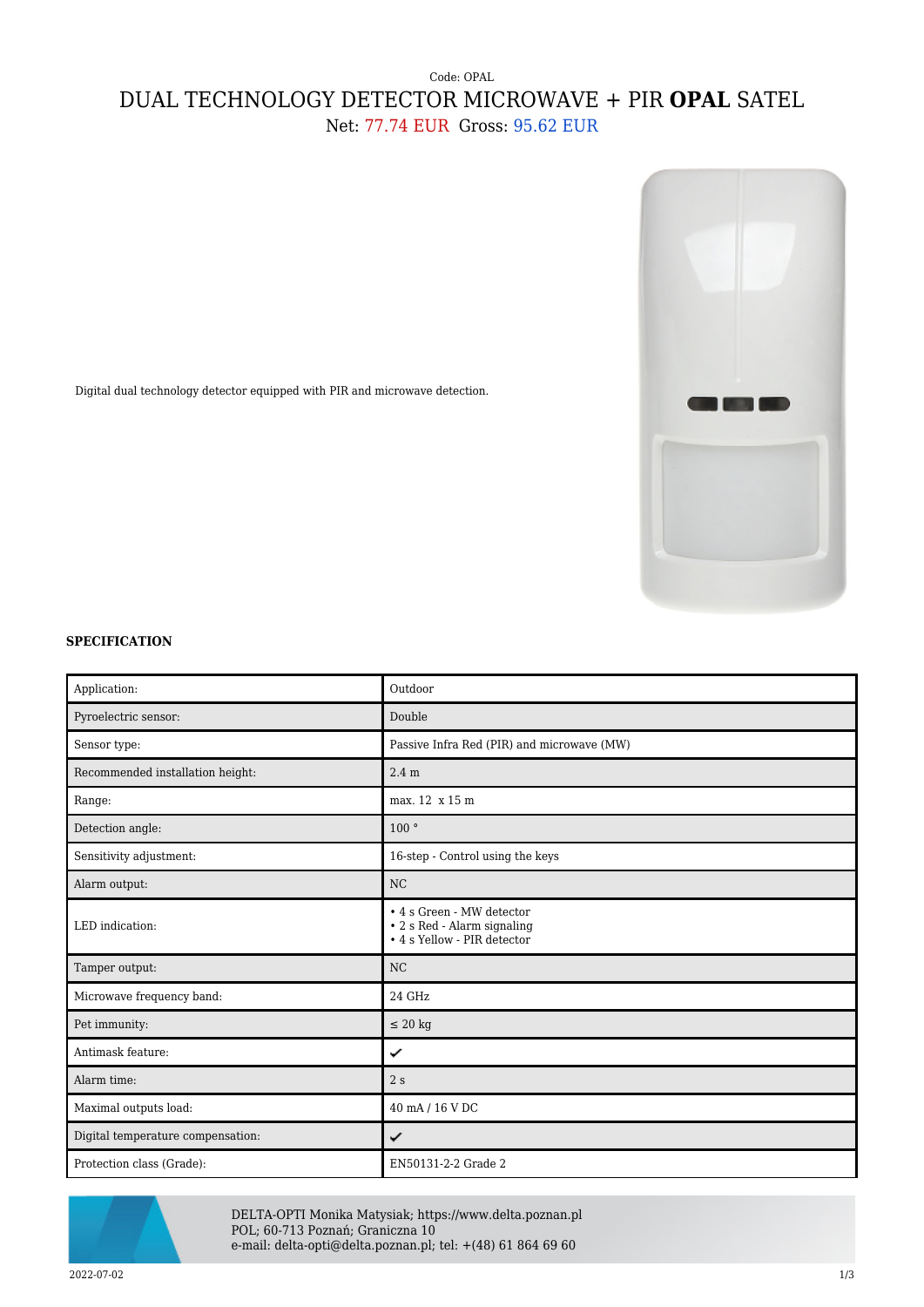## Code: OPAL DUAL TECHNOLOGY DETECTOR MICROWAVE + PIR **OPAL** SATEL Net: 77.74 EUR Gross: 95.62 EUR



Digital dual technology detector equipped with PIR and microwave detection.

## **SPECIFICATION**

| Application:                      | Outdoor                                                                                 |
|-----------------------------------|-----------------------------------------------------------------------------------------|
|                                   |                                                                                         |
| Pyroelectric sensor:              | Double                                                                                  |
| Sensor type:                      | Passive Infra Red (PIR) and microwave (MW)                                              |
| Recommended installation height:  | 2.4 <sub>m</sub>                                                                        |
| Range:                            | max. 12 x 15 m                                                                          |
| Detection angle:                  | 100°                                                                                    |
| Sensitivity adjustment:           | 16-step - Control using the keys                                                        |
| Alarm output:                     | NC                                                                                      |
| LED indication:                   | • 4 s Green - MW detector<br>• 2 s Red - Alarm signaling<br>• 4 s Yellow - PIR detector |
| Tamper output:                    | <b>NC</b>                                                                               |
| Microwave frequency band:         | 24 GHz                                                                                  |
| Pet immunity:                     | $\leq 20$ kg                                                                            |
| Antimask feature:                 | ✓                                                                                       |
| Alarm time:                       | 2s                                                                                      |
| Maximal outputs load:             | 40 mA / 16 V DC                                                                         |
| Digital temperature compensation: | ✓                                                                                       |
| Protection class (Grade):         | EN50131-2-2 Grade 2                                                                     |



DELTA-OPTI Monika Matysiak; https://www.delta.poznan.pl POL; 60-713 Poznań; Graniczna 10 e-mail: delta-opti@delta.poznan.pl; tel: +(48) 61 864 69 60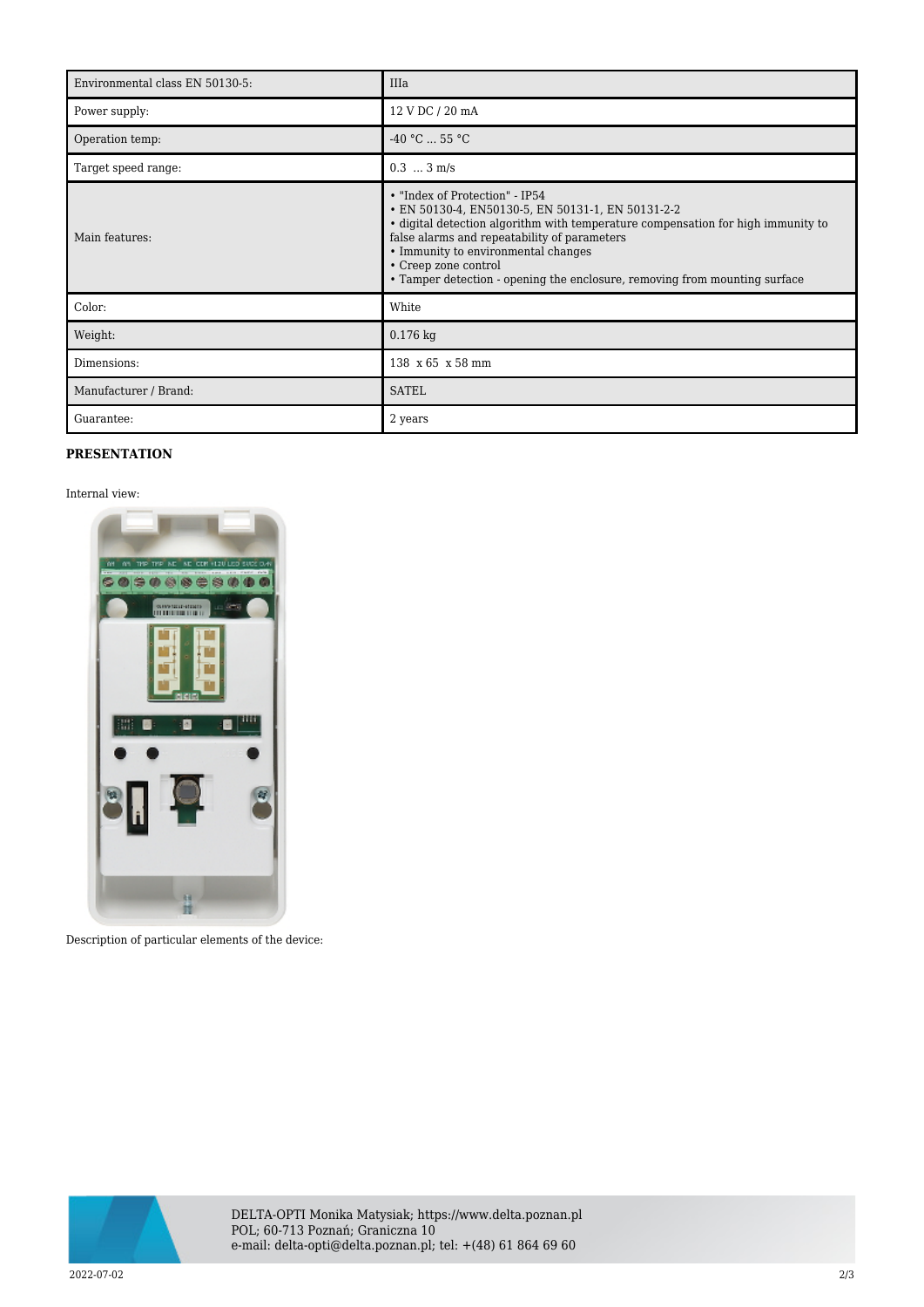| Environmental class EN 50130-5: | IIIa                                                                                                                                                                                                                                                                                                                                                                 |
|---------------------------------|----------------------------------------------------------------------------------------------------------------------------------------------------------------------------------------------------------------------------------------------------------------------------------------------------------------------------------------------------------------------|
| Power supply:                   | 12 V DC / 20 mA                                                                                                                                                                                                                                                                                                                                                      |
| Operation temp:                 | $-40 °C  55 °C$                                                                                                                                                                                                                                                                                                                                                      |
| Target speed range:             | $0.3$ $3 \text{ m/s}$                                                                                                                                                                                                                                                                                                                                                |
| Main features:                  | • "Index of Protection" - IP54<br>• EN 50130-4, EN50130-5, EN 50131-1, EN 50131-2-2<br>· digital detection algorithm with temperature compensation for high immunity to<br>false alarms and repeatability of parameters<br>• Immunity to environmental changes<br>• Creep zone control<br>• Tamper detection - opening the enclosure, removing from mounting surface |
| Color:                          | White                                                                                                                                                                                                                                                                                                                                                                |
| Weight:                         | $0.176$ kg                                                                                                                                                                                                                                                                                                                                                           |
| Dimensions:                     | 138 x 65 x 58 mm                                                                                                                                                                                                                                                                                                                                                     |
| Manufacturer / Brand:           | <b>SATEL</b>                                                                                                                                                                                                                                                                                                                                                         |
| Guarantee:                      | 2 years                                                                                                                                                                                                                                                                                                                                                              |

## **PRESENTATION**

Internal view:



Description of particular elements of the device:



DELTA-OPTI Monika Matysiak; https://www.delta.poznan.pl POL; 60-713 Poznań; Graniczna 10 e-mail: delta-opti@delta.poznan.pl; tel: +(48) 61 864 69 60

2022-07-02 2/3